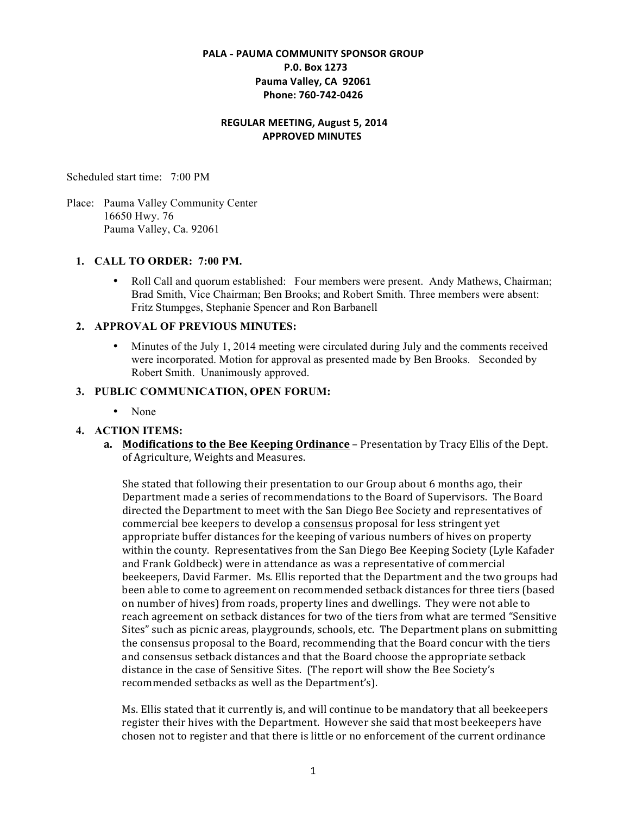# **PALA - PAUMA COMMUNITY SPONSOR GROUP \$\$P.0.\$Box\$1273** Pauma Valley, CA 92061 Phone: 760-742-0426

#### **REGULAR MEETING, August 5, 2014 APPROVED MINUTES**

Scheduled start time: 7:00 PM

Place: Pauma Valley Community Center 16650 Hwy. 76 Pauma Valley, Ca. 92061

## **1. CALL TO ORDER: 7:00 PM.**

• Roll Call and quorum established: Four members were present. Andy Mathews, Chairman; Brad Smith, Vice Chairman; Ben Brooks; and Robert Smith. Three members were absent: Fritz Stumpges, Stephanie Spencer and Ron Barbanell

#### **2. APPROVAL OF PREVIOUS MINUTES:**

• Minutes of the July 1, 2014 meeting were circulated during July and the comments received were incorporated. Motion for approval as presented made by Ben Brooks. Seconded by Robert Smith. Unanimously approved.

### **3. PUBLIC COMMUNICATION, OPEN FORUM:**

• None

## **4. ACTION ITEMS:**

**a. Modifications to the Bee Keeping Ordinance** – Presentation by Tracy Ellis of the Dept. of Agriculture, Weights and Measures.

She stated that following their presentation to our Group about 6 months ago, their Department made a series of recommendations to the Board of Supervisors. The Board directed the Department to meet with the San Diego Bee Society and representatives of commercial bee keepers to develop a consensus proposal for less stringent yet appropriate buffer distances for the keeping of various numbers of hives on property within the county. Representatives from the San Diego Bee Keeping Society (Lyle Kafader and Frank Goldbeck) were in attendance as was a representative of commercial beekeepers, David Farmer. Ms. Ellis reported that the Department and the two groups had been able to come to agreement on recommended setback distances for three tiers (based on number of hives) from roads, property lines and dwellings. They were not able to reach agreement on setback distances for two of the tiers from what are termed "Sensitive" Sites" such as picnic areas, playgrounds, schools, etc. The Department plans on submitting the consensus proposal to the Board, recommending that the Board concur with the tiers and consensus setback distances and that the Board choose the appropriate setback distance in the case of Sensitive Sites. (The report will show the Bee Society's recommended setbacks as well as the Department's).

Ms. Ellis stated that it currently is, and will continue to be mandatory that all beekeepers register their hives with the Department. However she said that most beekeepers have chosen not to register and that there is little or no enforcement of the current ordinance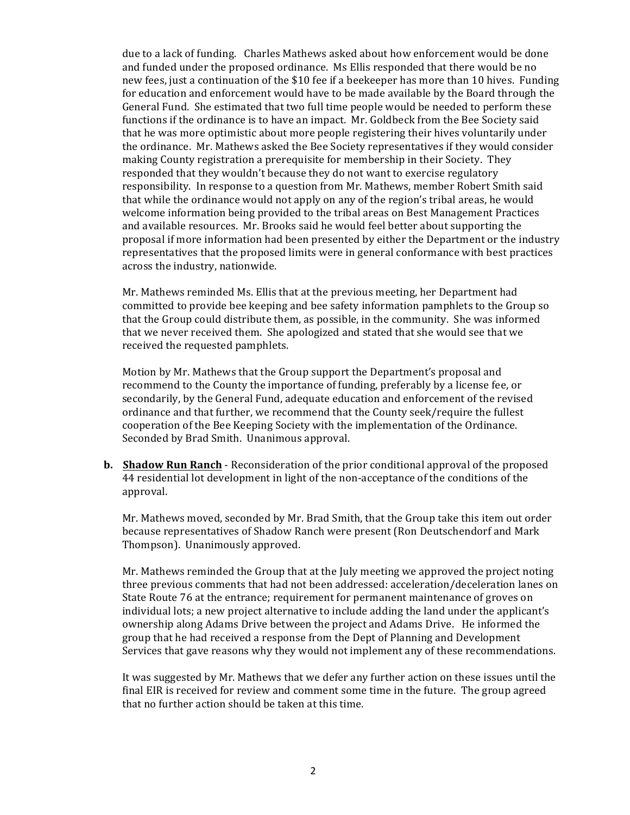due to a lack of funding. Charles Mathews asked about how enforcement would be done and funded under the proposed ordinance. Ms Ellis responded that there would be no new fees, just a continuation of the \$10 fee if a beekeeper has more than 10 hives. Funding for education and enforcement would have to be made available by the Board through the General Fund. She estimated that two full time people would be needed to perform these functions if the ordinance is to have an impact. Mr. Goldbeck from the Bee Society said that he was more optimistic about more people registering their hives voluntarily under the ordinance. Mr. Mathews asked the Bee Society representatives if they would consider making County registration a prerequisite for membership in their Society. They responded that they wouldn't because they do not want to exercise regulatory responsibility. In response to a question from Mr. Mathews, member Robert Smith said that while the ordinance would not apply on any of the region's tribal areas, he would welcome information being provided to the tribal areas on Best Management Practices and available resources. Mr. Brooks said he would feel better about supporting the proposal if more information had been presented by either the Department or the industry representatives that the proposed limits were in general conformance with best practices across the industry, nationwide.

Mr. Mathews reminded Ms. Ellis that at the previous meeting, her Department had committed to provide bee keeping and bee safety information pamphlets to the Group so that the Group could distribute them, as possible, in the community. She was informed that we never received them. She apologized and stated that she would see that we received the requested pamphlets.

Motion by Mr. Mathews that the Group support the Department's proposal and recommend to the County the importance of funding, preferably by a license fee, or secondarily, by the General Fund, adequate education and enforcement of the revised ordinance and that further, we recommend that the County seek/require the fullest cooperation of the Bee Keeping Society with the implementation of the Ordinance. Seconded by Brad Smith. Unanimous approval.

**b. Shadow Run Ranch** - Reconsideration of the prior conditional approval of the proposed 44 residential lot development in light of the non-acceptance of the conditions of the approval.

Mr. Mathews moved, seconded by Mr. Brad Smith, that the Group take this item out order because representatives of Shadow Ranch were present (Ron Deutschendorf and Mark Thompson). Unanimously approved.

Mr. Mathews reminded the Group that at the July meeting we approved the project noting three previous comments that had not been addressed: acceleration/deceleration lanes on State Route 76 at the entrance; requirement for permanent maintenance of groves on individual lots; a new project alternative to include adding the land under the applicant's ownership along Adams Drive between the project and Adams Drive. He informed the group that he had received a response from the Dept of Planning and Development Services that gave reasons why they would not implement any of these recommendations.

It was suggested by Mr. Mathews that we defer any further action on these issues until the final EIR is received for review and comment some time in the future. The group agreed that no further action should be taken at this time.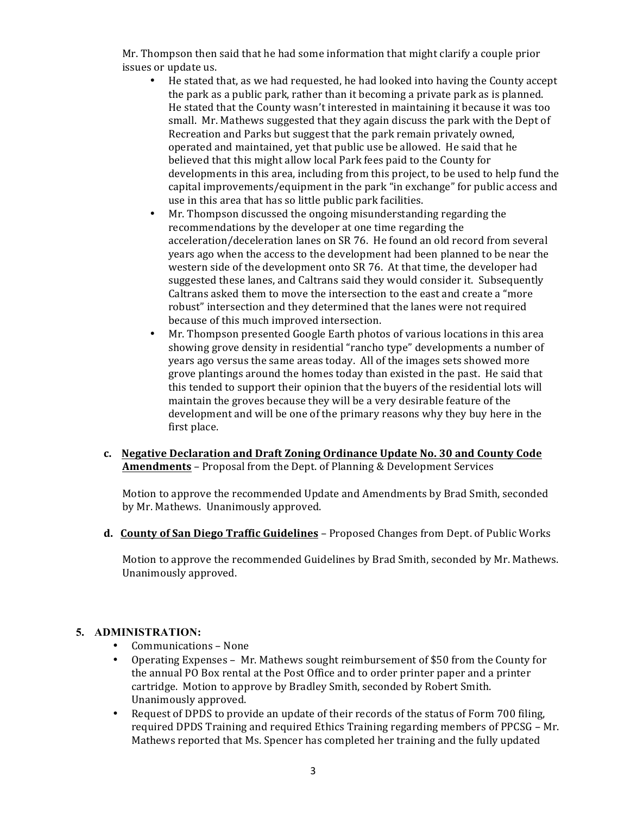Mr. Thompson then said that he had some information that might clarify a couple prior issues or update us.

- He stated that, as we had requested, he had looked into having the County accept the park as a public park, rather than it becoming a private park as is planned. He stated that the County wasn't interested in maintaining it because it was too small. Mr. Mathews suggested that they again discuss the park with the Dept of Recreation and Parks but suggest that the park remain privately owned, operated and maintained, yet that public use be allowed. He said that he believed that this might allow local Park fees paid to the County for developments in this area, including from this project, to be used to help fund the capital improvements/equipment in the park "in exchange" for public access and use in this area that has so little public park facilities.
- Mr. Thompson discussed the ongoing misunderstanding regarding the recommendations by the developer at one time regarding the acceleration/deceleration lanes on SR 76. He found an old record from several years ago when the access to the development had been planned to be near the western side of the development onto SR 76. At that time, the developer had suggested these lanes, and Caltrans said they would consider it. Subsequently Caltrans asked them to move the intersection to the east and create a "more" robust" intersection and they determined that the lanes were not required because of this much improved intersection.
- Mr. Thompson presented Google Earth photos of various locations in this area showing grove density in residential "rancho type" developments a number of years ago versus the same areas today. All of the images sets showed more grove plantings around the homes today than existed in the past. He said that this tended to support their opinion that the buyers of the residential lots will maintain the groves because they will be a very desirable feature of the development and will be one of the primary reasons why they buy here in the first place.
- **c.** Negative Declaration and Draft Zoning Ordinance Update No. 30 and County Code **Amendments** – Proposal from the Dept. of Planning & Development Services

Motion to approve the recommended Update and Amendments by Brad Smith, seconded by Mr. Mathews. Unanimously approved.

**d. County of San Diego Traffic Guidelines** – Proposed Changes from Dept. of Public Works

Motion to approve the recommended Guidelines by Brad Smith, seconded by Mr. Mathews. Unanimously approved.

## **5. ADMINISTRATION:**

- Communications None
- Operating Expenses Mr. Mathews sought reimbursement of \$50 from the County for the annual PO Box rental at the Post Office and to order printer paper and a printer cartridge. Motion to approve by Bradley Smith, seconded by Robert Smith. Unanimously approved.
- Request of DPDS to provide an update of their records of the status of Form 700 filing, required DPDS Training and required Ethics Training regarding members of PPCSG – Mr. Mathews reported that Ms. Spencer has completed her training and the fully updated